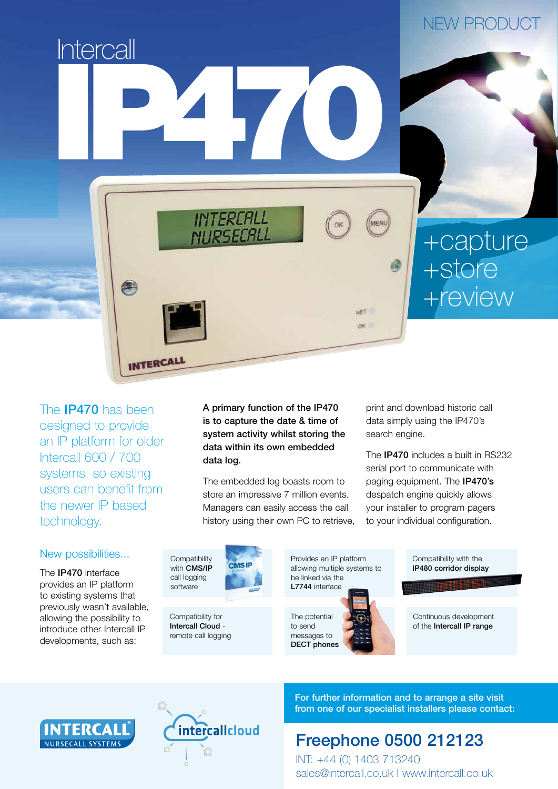

The IP470 has been designed to provide an IP platform for older Intercall 600 / 700 systems, so existing users can benefit from the newer IP based technology.

#### A primary function of the IP470 is to capture the date & time of system activity whilst storing the data within its own embedded data log.

The embedded log boasts room to store an impressive 7 million events. Managers can easily access the call history using their own PC to retrieve, print and download historic call data simply using the IP470's search engine.

The IP470 includes a built in RS232 serial port to communicate with paging equipment. The IP470's despatch engine quickly allows your installer to program pagers to your individual configuration.

### New possibilities...

The IP470 interface provides an IP platform to existing systems that previously wasn't available, allowing the possibility to introduce other Intercall IP developments, such as:

**Compatibility** with **CMS/IP** call logging software

Compatibility for Intercall Cloud remote call logging Provides an IP platform allowing multiple systems to be linked via the L7744 interface

The potential to send messages to DECT phones Compatibility with the IP480 corridor display

Continuous development of the Intercall IP range





For further information and to arrange a site visit from one of our specialist installers please contact:

## Freephone 0500 212123

INT: +44 (0) 1403 713240 sales@intercall.co.uk | www.intercall.co.uk